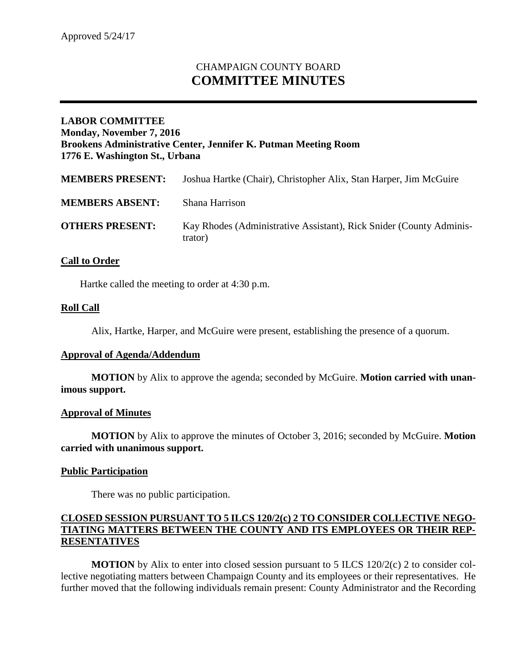# CHAMPAIGN COUNTY BOARD **COMMITTEE MINUTES**

# **LABOR COMMITTEE Monday, November 7, 2016 Brookens Administrative Center, Jennifer K. Putman Meeting Room 1776 E. Washington St., Urbana**

| <b>OTHERS PRESENT:</b>  | Kay Rhodes (Administrative Assistant), Rick Snider (County Adminis-<br>trator) |
|-------------------------|--------------------------------------------------------------------------------|
| <b>MEMBERS PRESENT:</b> | Joshua Hartke (Chair), Christopher Alix, Stan Harper, Jim McGuire              |
| <b>MEMBERS ABSENT:</b>  | Shana Harrison                                                                 |

## **Call to Order**

Hartke called the meeting to order at 4:30 p.m.

#### **Roll Call**

Alix, Hartke, Harper, and McGuire were present, establishing the presence of a quorum.

#### **Approval of Agenda/Addendum**

**MOTION** by Alix to approve the agenda; seconded by McGuire. **Motion carried with unanimous support.**

#### **Approval of Minutes**

**MOTION** by Alix to approve the minutes of October 3, 2016; seconded by McGuire. **Motion carried with unanimous support.**

#### **Public Participation**

There was no public participation.

## **CLOSED SESSION PURSUANT TO 5 ILCS 120/2(c) 2 TO CONSIDER COLLECTIVE NEGO-TIATING MATTERS BETWEEN THE COUNTY AND ITS EMPLOYEES OR THEIR REP-RESENTATIVES**

**MOTION** by Alix to enter into closed session pursuant to 5 ILCS 120/2(c) 2 to consider collective negotiating matters between Champaign County and its employees or their representatives. He further moved that the following individuals remain present: County Administrator and the Recording